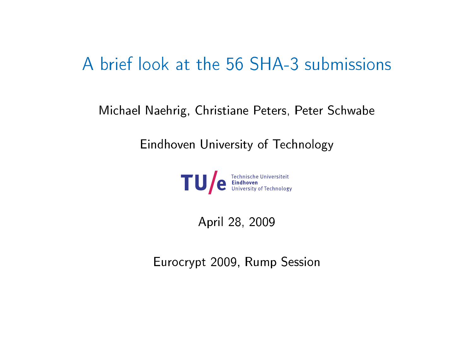## A brief look at the 56 SHA-3 submissions

Mi
hael Naehrig, Christiane Peters, Peter S
hwabe

Eindhoven University of Technology



April 28, 2009

Euro
rypt 2009, Rump Session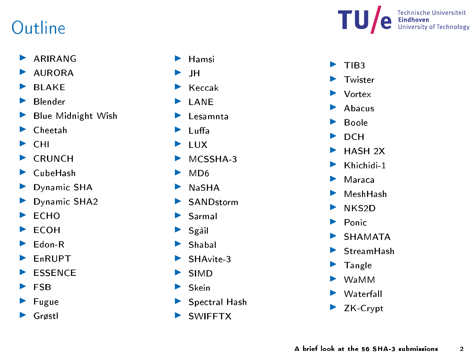## **Outline**

- ARIRANG
- ◮ AURORA
- ◮ **BLAKE**
- Blender ◮
- ◮ Blue Midnight Wish
- ▶ Cheetah
- $\triangleright$  CHI
- $\blacktriangleright$  CRUNCH
- $\blacktriangleright$  CubeHash
- ▶ Dynamic SHA
- Dynamic SHA2
- $\blacktriangleright$  ECHO
- $\blacktriangleright$  ECOH
- ◮ Edon-R
- EnRUPT ◮
- ◮ **ESSENCE**
- ▶ FSB
- $\blacktriangleright$  Fugue
- ▶ Grøstl
- $\blacktriangleright$  Hamsi
- $\blacktriangleright$  JH
- $\blacktriangleright$  Keccak
- LANE
- $\blacktriangleright$  Lesamnta
- ▶ Luffa
- $\blacktriangleright$  LUX
- MCSSHA3
- $MDO6$
- NaSHA
- SANDstorm
- $\blacktriangleright$  Sarmal
- $\blacktriangleright$  Sgàil
- $\blacktriangleright$  Shabal
- SHAvite 3
- $\blacktriangleright$  SIMD
- ▶ Skein
- ▶ Spectral Hash
- ▶ SWIFFTX



- $\blacktriangleright$  TIB3 Twister ▶ Vortex ◮ Abacus **E** Boole  $\triangleright$  DCH HASH<sub>2X</sub> ◮ ◮ Khichidi 1
- ◮ Maraca
- ◮ MeshHash
- NKS2D ◮
- Ponic
- **E** SHAMATA
- StreamHash
- $\blacktriangleright$  Tangle
- $\triangleright$  WaMM
- ▶ Waterfall
- ▶ ZK-Crypt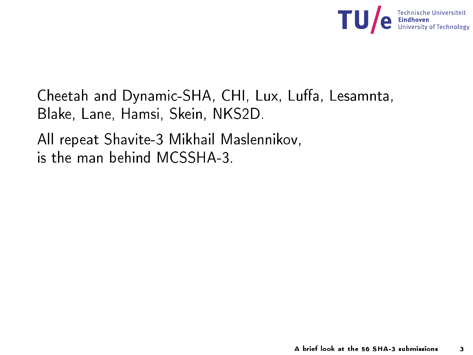

Cheetah and Dynamic-SHA, CHI, Lux, Luffa, Lesamnta, Blake, Lane, Hamsi, Skein, NKS2D.

All repeat Shavite-3 Mikhail Maslennikov, is the man behind MCSSHA-3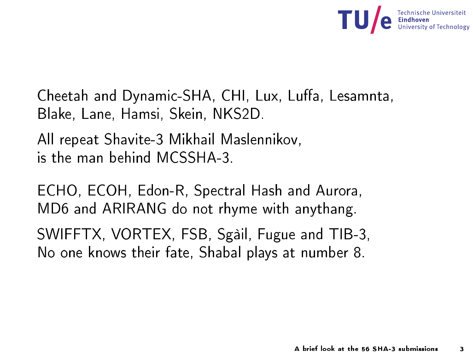

Cheetah and Dynamic-SHA, CHI, Lux, Luffa, Lesamnta, Blake, Lane, Hamsi, Skein, NKS2D. Blake, Lane, Hamsi, Skein, NKS2D.

All repeat Shavite-3 Mikhail Maslennikov, is the man behind MCSSHA-3

ECHO, ECOH, Edon-R, Spectral Hash and Aurora, MD6 and ARIRANG do not rhyme with anythang.

SWIFFTX, VORTEX, FSB, Sgàil, Fugue and TIB-3, No one knows their fate, Shabal plays at number 8.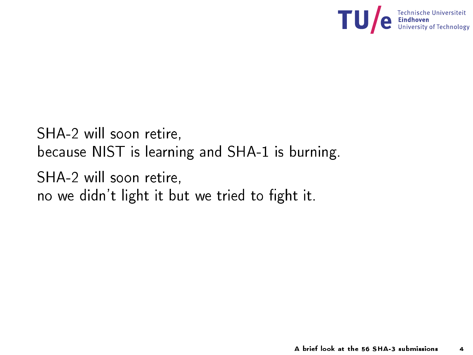

SHA-2 will soon retire, be
ause NIST is learning and SHA-1 is burning. SHA-2 will soon retire, no we didn't light it but we tried to fight it.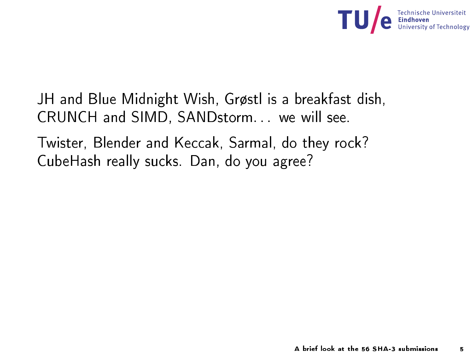

JH and Blue Midnight Wish, Grøstl is a breakfast dish, JH and Blue Midnight Wish,  $\mathbf{H}$  and  $\mathbf{H}$  are a breakfast dish,  $\mathbf{H}$ CRUNCH and SIMD, SANDstorm. . . we will see.

Twister, Blender and Keccak, Sarmal, do they rock? CubeHash really sucks. Dan, do you agree?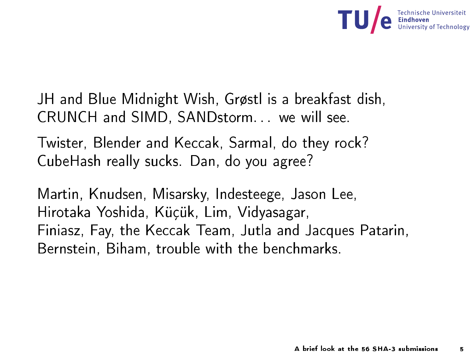

JH and Blue Midnight Wish, Grøstl is a breakfast dish, JH and Blue Midnight Wish,  $\mathbf{H}$  and  $\mathbf{H}$  are a breakfast dish,  $\mathbf{H}$ CRUNCH and SIMD, SANDstorm. . . we will see.

Twister, Blender and Keccak, Sarmal, do they rock? CubeHash really sucks. Dan, do you agree?

Martin, Knudsen, Misarsky, Indesteege, Jason Lee, Hirotaka Yoshida, Küçük, Lim, Vidyasagar, Finiasz, Fay, the Keccak Team, Jutla and Jacques Patarin, Bernstein, Biham, trouble with the benchmarks. Bernstein, Biham, trouble with the ben
hmarks.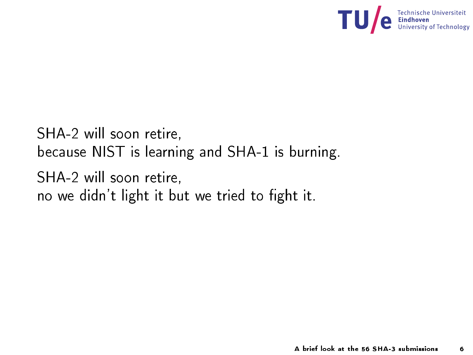

SHA-2 will soon retire, be
ause NIST is learning and SHA-1 is burning. SHA-2 will soon retire, no we didn't light it but we tried to fight it.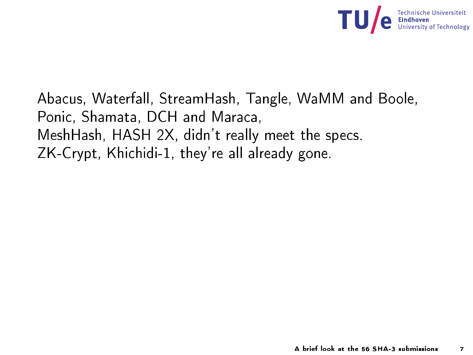

Aba
us, Waterfall, StreamHash, Tangle, WaMM and Boole, Ponic, Shamata, DCH and Maraca, MeshHash, HASH 2X, didn't really meet the spe
s. ZK-Crypt, Khichidi-1, they're all already gone.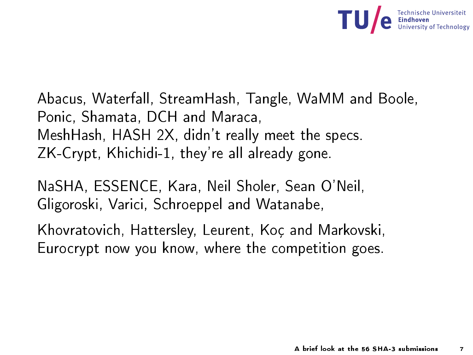

Aba
us, Waterfall, StreamHash, Tangle, WaMM and Boole, Ponic, Shamata, DCH and Maraca, , Shamata, D.C., Shamata, D.C., Shamata, D.C., Shamata, D.C., Shamata, D.C., Shamata, D.C., Shamata, D.C., Shamata, D.C., Shamata, D.C., Shamata, D.C., D.C., D.C., D.C., D.C., D.C., D.C., D.C., D.C., D.C., D.C., D.C., D.C. MeshHash, HASH 2X, didn't really meet the spe
s. ZK-Crypt, Khichidi-1, they're all already gone.

NaSHA, ESSENCE, Kara, Neil Sholer, Sean O'Neil, Gligoroski, Varici, Schroeppel and Watanabe,

Khovratovi
h, Hattersley, Leurent, Koç and Markovski, Eurocrypt now you know, where the competition goes.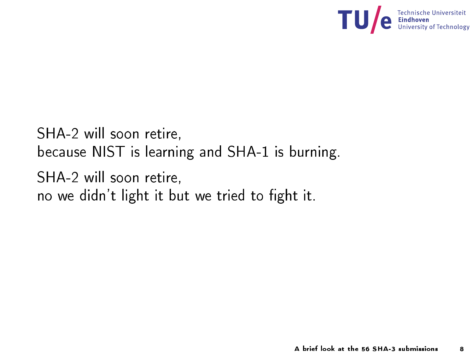

SHA-2 will soon retire, be
ause NIST is learning and SHA-1 is burning. SHA-2 will soon retire, no we didn't light it but we tried to fight it.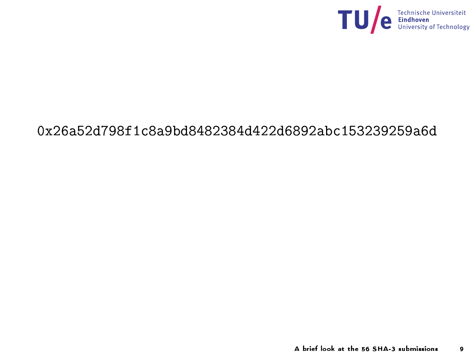

## 0x26a52d798f1c8a9bd8482384d422d6892abc153239259a6d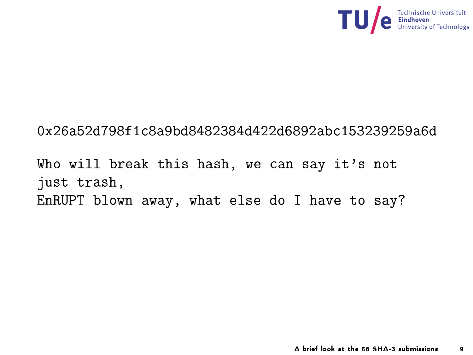

## 0x26a52d798f1c8a9bd8482384d422d6892abc153239259a6d

Who will break this hash, we can say it's not just trash, EnRUPT blown away, what else do <sup>I</sup> have to say?